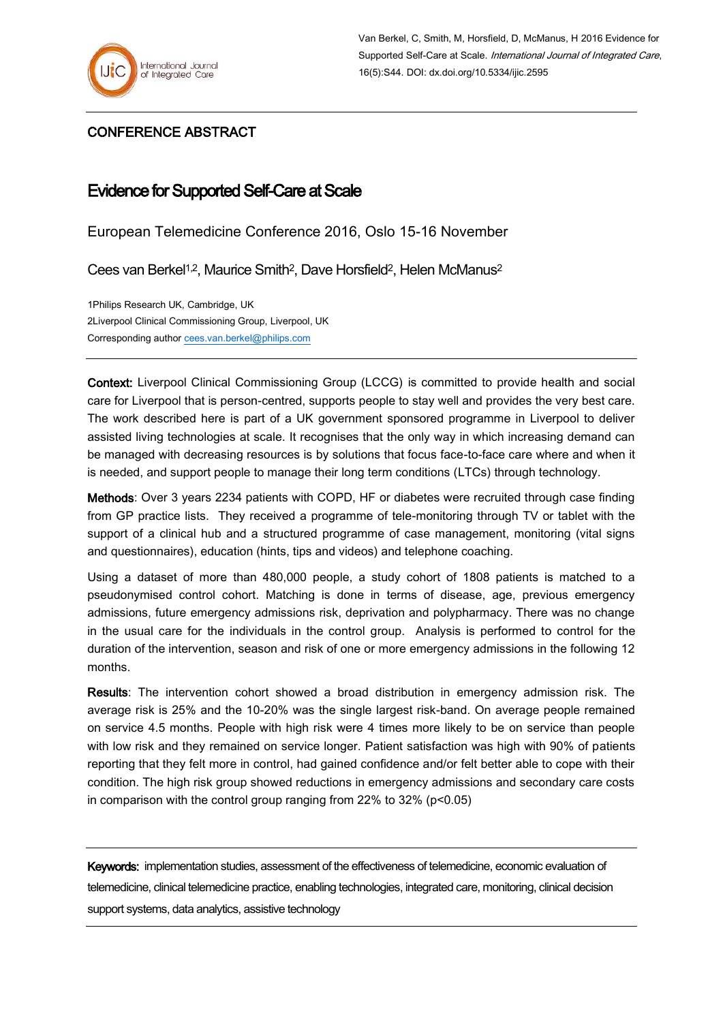

## CONFERENCE ABSTRACT

## Evidence for Supported Self-Care at Scale

European Telemedicine Conference 2016, Oslo 15-16 November

Cees van Berkel1,2, Maurice Smith2, Dave Horsfield2, Helen McManus<sup>2</sup>

1Philips Research UK, Cambridge, UK 2Liverpool Clinical Commissioning Group, Liverpool, UK Corresponding autho[r cees.van.berkel@philips.com](mailto:cees.van.berkel@philips.com)

Context: Liverpool Clinical Commissioning Group (LCCG) is committed to provide health and social care for Liverpool that is person-centred, supports people to stay well and provides the very best care. The work described here is part of a UK government sponsored programme in Liverpool to deliver assisted living technologies at scale. It recognises that the only way in which increasing demand can be managed with decreasing resources is by solutions that focus face-to-face care where and when it is needed, and support people to manage their long term conditions (LTCs) through technology.

Methods: Over 3 years 2234 patients with COPD, HF or diabetes were recruited through case finding from GP practice lists. They received a programme of tele-monitoring through TV or tablet with the support of a clinical hub and a structured programme of case management, monitoring (vital signs and questionnaires), education (hints, tips and videos) and telephone coaching.

Using a dataset of more than 480,000 people, a study cohort of 1808 patients is matched to a pseudonymised control cohort. Matching is done in terms of disease, age, previous emergency admissions, future emergency admissions risk, deprivation and polypharmacy. There was no change in the usual care for the individuals in the control group. Analysis is performed to control for the duration of the intervention, season and risk of one or more emergency admissions in the following 12 months.

Results: The intervention cohort showed a broad distribution in emergency admission risk. The average risk is 25% and the 10-20% was the single largest risk-band. On average people remained on service 4.5 months. People with high risk were 4 times more likely to be on service than people with low risk and they remained on service longer. Patient satisfaction was high with 90% of patients reporting that they felt more in control, had gained confidence and/or felt better able to cope with their condition. The high risk group showed reductions in emergency admissions and secondary care costs in comparison with the control group ranging from 22% to 32% (p<0.05)

Keywords: implementation studies, assessment of the effectiveness of telemedicine, economic evaluation of telemedicine, clinical telemedicine practice, enabling technologies, integrated care, monitoring, clinical decision support systems, data analytics, assistive technology